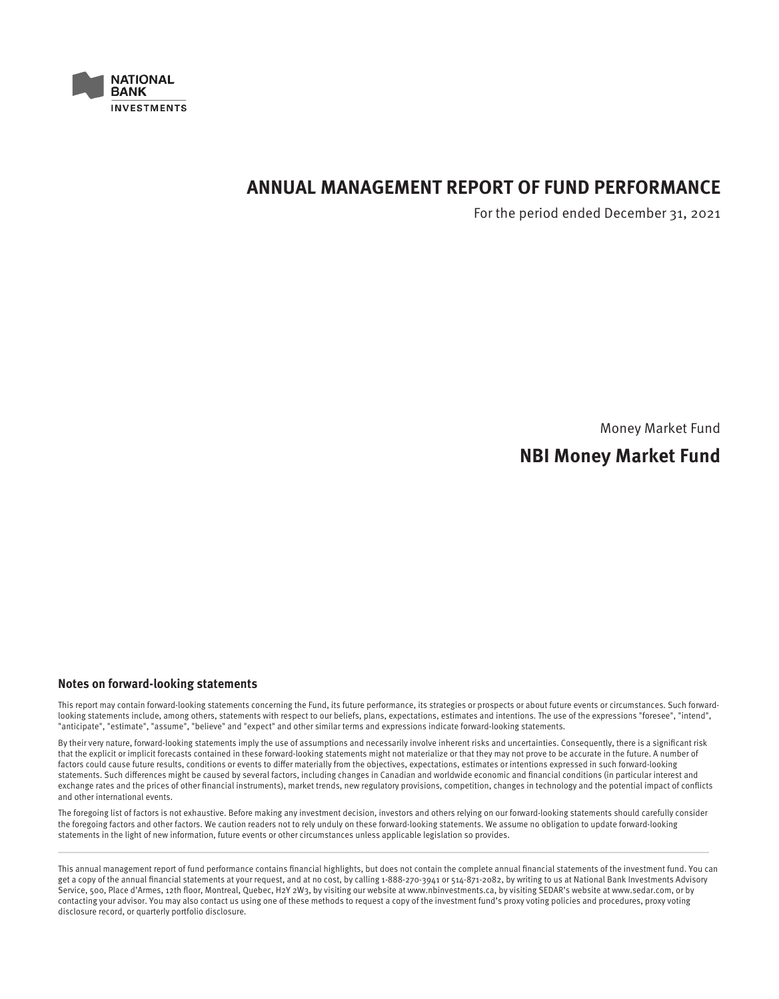

# **ANNUAL MANAGEMENT REPORT OF FUND PERFORMANCE**

For the period ended December 31, 2021

Money Market Fund

# **NBI Money Market Fund**

# **Notes on forward-looking statements**

This report may contain forward-looking statements concerning the Fund, its future performance, its strategies or prospects or about future events or circumstances. Such forwardlooking statements include, among others, statements with respect to our beliefs, plans, expectations, estimates and intentions. The use of the expressions "foresee", "intend", "anticipate", "estimate", "assume", "believe" and "expect" and other similar terms and expressions indicate forward-looking statements.

By their very nature, forward-looking statements imply the use of assumptions and necessarily involve inherent risks and uncertainties. Consequently, there is a significant risk that the explicit or implicit forecasts contained in these forward-looking statements might not materialize or that they may not prove to be accurate in the future. A number of factors could cause future results, conditions or events to differ materially from the objectives, expectations, estimates or intentions expressed in such forward-looking statements. Such differences might be caused by several factors, including changes in Canadian and worldwide economic and financial conditions (in particular interest and exchange rates and the prices of other financial instruments), market trends, new regulatory provisions, competition, changes in technology and the potential impact of conflicts and other international events.

The foregoing list of factors is not exhaustive. Before making any investment decision, investors and others relying on our forward-looking statements should carefully consider the foregoing factors and other factors. We caution readers not to rely unduly on these forward-looking statements. We assume no obligation to update forward-looking statements in the light of new information, future events or other circumstances unless applicable legislation so provides.

This annual management report of fund performance contains financial highlights, but does not contain the complete annual financial statements of the investment fund. You can get a copy of the annual financial statements at your request, and at no cost, by calling 1-888-270-3941 or 514-871-2082, by writing to us at National Bank Investments Advisory Service, 500, Place d'Armes, 12th floor, Montreal, Quebec, H2Y 2W3, by visiting our website at www.nbinvestments.ca, by visiting SEDAR's website at www.sedar.com, or by contacting your advisor. You may also contact us using one of these methods to request a copy of the investment fund's proxy voting policies and procedures, proxy voting disclosure record, or quarterly portfolio disclosure.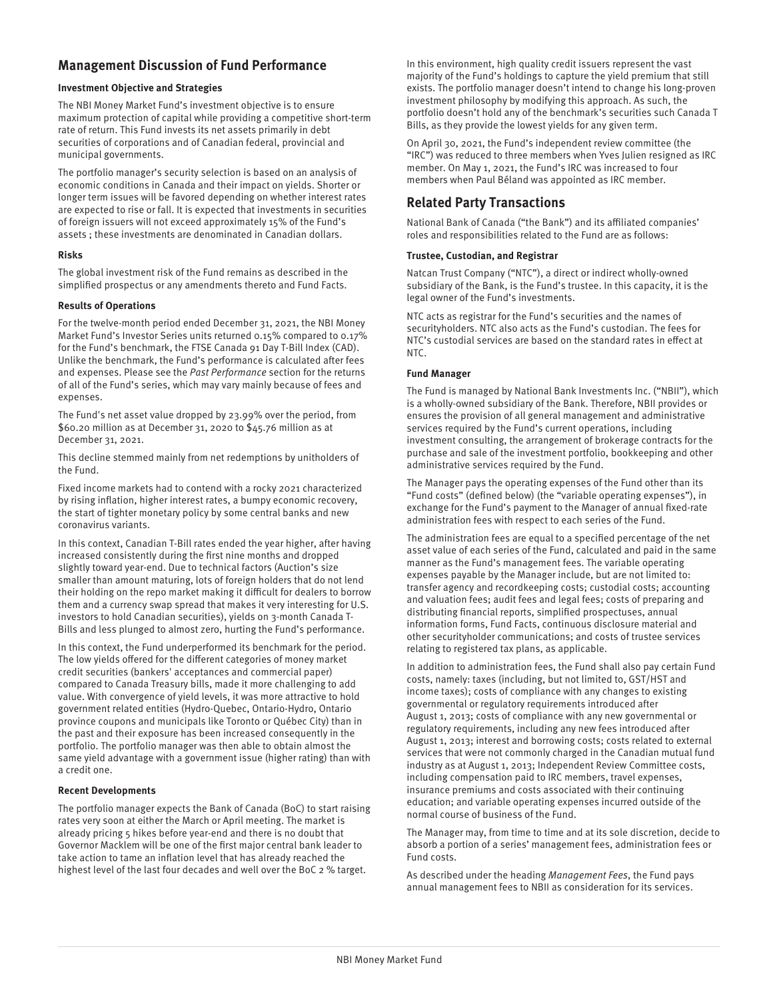# **Management Discussion of Fund Performance**

# **Investment Objective and Strategies**

The NBI Money Market Fund's investment objective is to ensure maximum protection of capital while providing a competitive short-term rate of return. This Fund invests its net assets primarily in debt securities of corporations and of Canadian federal, provincial and municipal governments.

The portfolio manager's security selection is based on an analysis of economic conditions in Canada and their impact on yields. Shorter or longer term issues will be favored depending on whether interest rates are expected to rise or fall. It is expected that investments in securities of foreign issuers will not exceed approximately 15% of the Fund's assets ; these investments are denominated in Canadian dollars.

#### **Risks**

The global investment risk of the Fund remains as described in the simplified prospectus or any amendments thereto and Fund Facts.

#### **Results of Operations**

For the twelve-month period ended December 31, 2021, the NBI Money Market Fund's Investor Series units returned 0.15% compared to 0.17% for the Fund's benchmark, the FTSE Canada 91 Day T-Bill Index (CAD). Unlike the benchmark, the Fund's performance is calculated after fees and expenses. Please see the Past Performance section for the returns of all of the Fund's series, which may vary mainly because of fees and expenses.

The Fund's net asset value dropped by 23.99% over the period, from \$60.20 million as at December 31, 2020 to \$45.76 million as at December 31, 2021.

This decline stemmed mainly from net redemptions by unitholders of the Fund.

Fixed income markets had to contend with a rocky 2021 characterized by rising inflation, higher interest rates, a bumpy economic recovery, the start of tighter monetary policy by some central banks and new coronavirus variants.

In this context, Canadian T-Bill rates ended the year higher, after having increased consistently during the first nine months and dropped slightly toward year-end. Due to technical factors (Auction's size smaller than amount maturing, lots of foreign holders that do not lend their holding on the repo market making it difficult for dealers to borrow them and a currency swap spread that makes it very interesting for U.S. investors to hold Canadian securities), yields on 3-month Canada T-Bills and less plunged to almost zero, hurting the Fund's performance.

In this context, the Fund underperformed its benchmark for the period. The low yields offered for the different categories of money market credit securities (bankers' acceptances and commercial paper) compared to Canada Treasury bills, made it more challenging to add value. With convergence of yield levels, it was more attractive to hold government related entities (Hydro-Quebec, Ontario-Hydro, Ontario province coupons and municipals like Toronto or Québec City) than in the past and their exposure has been increased consequently in the portfolio. The portfolio manager was then able to obtain almost the same yield advantage with a government issue (higher rating) than with a credit one.

# **Recent Developments**

The portfolio manager expects the Bank of Canada (BoC) to start raising rates very soon at either the March or April meeting. The market is already pricing 5 hikes before year-end and there is no doubt that Governor Macklem will be one of the first major central bank leader to take action to tame an inflation level that has already reached the highest level of the last four decades and well over the BoC 2 % target.

In this environment, high quality credit issuers represent the vast majority of the Fund's holdings to capture the yield premium that still exists. The portfolio manager doesn't intend to change his long-proven investment philosophy by modifying this approach. As such, the portfolio doesn't hold any of the benchmark's securities such Canada T Bills, as they provide the lowest yields for any given term.

On April 30, 2021, the Fund's independent review committee (the "IRC") was reduced to three members when Yves Julien resigned as IRC member. On May 1, 2021, the Fund's IRC was increased to four members when Paul Béland was appointed as IRC member.

# **Related Party Transactions**

National Bank of Canada ("the Bank") and its affiliated companies' roles and responsibilities related to the Fund are as follows:

#### **Trustee, Custodian, and Registrar**

Natcan Trust Company ("NTC"), a direct or indirect wholly-owned subsidiary of the Bank, is the Fund's trustee. In this capacity, it is the legal owner of the Fund's investments.

NTC acts as registrar for the Fund's securities and the names of securityholders. NTC also acts as the Fund's custodian. The fees for NTC's custodial services are based on the standard rates in effect at NTC.

#### **Fund Manager**

The Fund is managed by National Bank Investments Inc. ("NBII"), which is a wholly-owned subsidiary of the Bank. Therefore, NBII provides or ensures the provision of all general management and administrative services required by the Fund's current operations, including investment consulting, the arrangement of brokerage contracts for the purchase and sale of the investment portfolio, bookkeeping and other administrative services required by the Fund.

The Manager pays the operating expenses of the Fund other than its "Fund costs" (defined below) (the "variable operating expenses"), in exchange for the Fund's payment to the Manager of annual fixed-rate administration fees with respect to each series of the Fund.

The administration fees are equal to a specified percentage of the net asset value of each series of the Fund, calculated and paid in the same manner as the Fund's management fees. The variable operating expenses payable by the Manager include, but are not limited to: transfer agency and recordkeeping costs; custodial costs; accounting and valuation fees; audit fees and legal fees; costs of preparing and distributing financial reports, simplified prospectuses, annual information forms, Fund Facts, continuous disclosure material and other securityholder communications; and costs of trustee services relating to registered tax plans, as applicable.

In addition to administration fees, the Fund shall also pay certain Fund costs, namely: taxes (including, but not limited to, GST/HST and income taxes); costs of compliance with any changes to existing governmental or regulatory requirements introduced after August 1, 2013; costs of compliance with any new governmental or regulatory requirements, including any new fees introduced after August 1, 2013; interest and borrowing costs; costs related to external services that were not commonly charged in the Canadian mutual fund industry as at August 1, 2013; Independent Review Committee costs, including compensation paid to IRC members, travel expenses, insurance premiums and costs associated with their continuing education; and variable operating expenses incurred outside of the normal course of business of the Fund.

The Manager may, from time to time and at its sole discretion, decide to absorb a portion of a series' management fees, administration fees or Fund costs.

As described under the heading Management Fees, the Fund pays annual management fees to NBII as consideration for its services.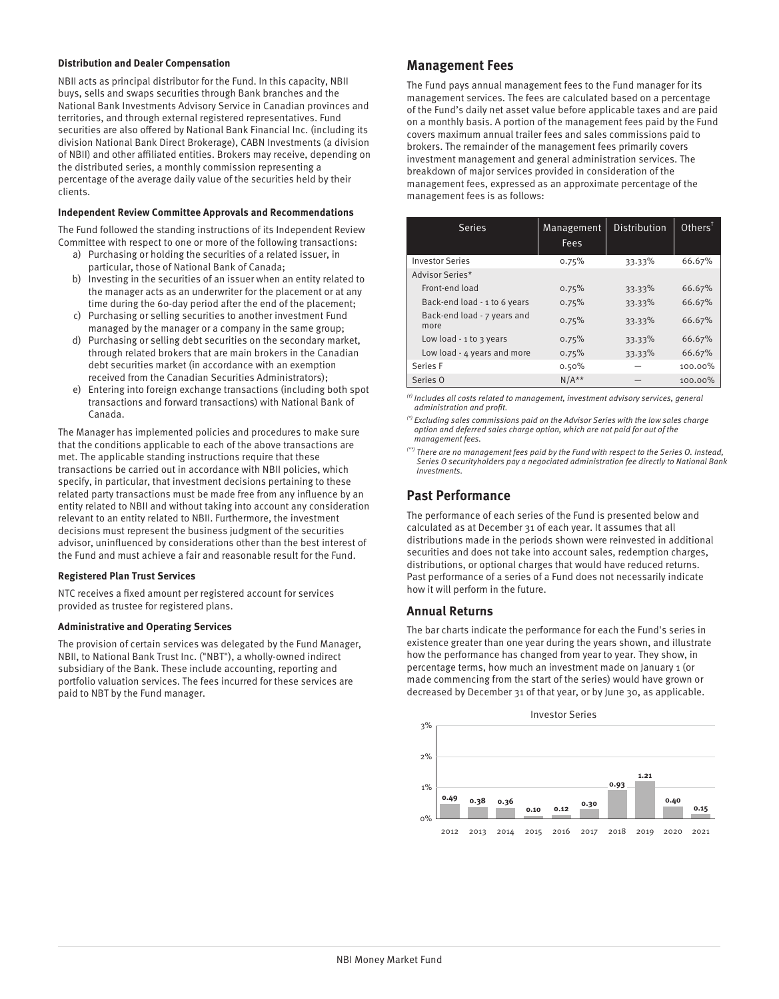#### **Distribution and Dealer Compensation**

NBII acts as principal distributor for the Fund. In this capacity, NBII buys, sells and swaps securities through Bank branches and the National Bank Investments Advisory Service in Canadian provinces and territories, and through external registered representatives. Fund securities are also offered by National Bank Financial Inc. (including its division National Bank Direct Brokerage), CABN Investments (a division of NBII) and other affiliated entities. Brokers may receive, depending on the distributed series, a monthly commission representing a percentage of the average daily value of the securities held by their clients.

#### **Independent Review Committee Approvals and Recommendations**

The Fund followed the standing instructions of its Independent Review Committee with respect to one or more of the following transactions:

- a) Purchasing or holding the securities of a related issuer, in particular, those of National Bank of Canada;
- b) Investing in the securities of an issuer when an entity related to the manager acts as an underwriter for the placement or at any time during the 60-day period after the end of the placement;
- c) Purchasing or selling securities to another investment Fund managed by the manager or a company in the same group;
- d) Purchasing or selling debt securities on the secondary market, through related brokers that are main brokers in the Canadian debt securities market (in accordance with an exemption received from the Canadian Securities Administrators);
- e) Entering into foreign exchange transactions (including both spot transactions and forward transactions) with National Bank of Canada.

The Manager has implemented policies and procedures to make sure that the conditions applicable to each of the above transactions are met. The applicable standing instructions require that these transactions be carried out in accordance with NBII policies, which specify, in particular, that investment decisions pertaining to these related party transactions must be made free from any influence by an entity related to NBII and without taking into account any consideration relevant to an entity related to NBII. Furthermore, the investment decisions must represent the business judgment of the securities advisor, uninfluenced by considerations other than the best interest of the Fund and must achieve a fair and reasonable result for the Fund.

# **Registered Plan Trust Services**

NTC receives a fixed amount per registered account for services provided as trustee for registered plans.

# **Administrative and Operating Services**

The provision of certain services was delegated by the Fund Manager, NBII, to National Bank Trust Inc. ("NBT"), a wholly-owned indirect subsidiary of the Bank. These include accounting, reporting and portfolio valuation services. The fees incurred for these services are paid to NBT by the Fund manager.

# **Management Fees**

The Fund pays annual management fees to the Fund manager for its management services. The fees are calculated based on a percentage of the Fund's daily net asset value before applicable taxes and are paid on a monthly basis. A portion of the management fees paid by the Fund covers maximum annual trailer fees and sales commissions paid to brokers. The remainder of the management fees primarily covers investment management and general administration services. The breakdown of major services provided in consideration of the management fees, expressed as an approximate percentage of the management fees is as follows:

| <b>Series</b>                       | Management<br>Fees | Distribution | Other <sup>†</sup> |
|-------------------------------------|--------------------|--------------|--------------------|
| <b>Investor Series</b>              | 0.75%              | 33.33%       | 66.67%             |
| Advisor Series*                     |                    |              |                    |
| Front-end load                      | 0.75%              | 33.33%       | 66.67%             |
| Back-end load - 1 to 6 years        | 0.75%              | 33.33%       | 66.67%             |
| Back-end load - 7 years and<br>more | 0.75%              | 33.33%       | 66.67%             |
| Low load - $1$ to $3$ years         | 0.75%              | 33.33%       | 66.67%             |
| Low load - 4 years and more         | 0.75%              | 33.33%       | 66.67%             |
| Series F                            | 0.50%              |              | 100.00%            |
| Series 0                            | $N/A**$            |              | 100.00%            |

 $<sup>(t)</sup>$  Includes all costs related to management, investment advisory services, general</sup> administration and profit.

 $<sup>(*)</sup>$  Excluding sales commissions paid on the Advisor Series with the low sales charge</sup> option and deferred sales charge option, which are not paid for out of the management fees.

(\*\*) There are no management fees paid by the Fund with respect to the Series O. Instead, Series O securityholders pay a negociated administration fee directly to National Bank Investments.

# **Past Performance**

The performance of each series of the Fund is presented below and calculated as at December 31 of each year. It assumes that all distributions made in the periods shown were reinvested in additional securities and does not take into account sales, redemption charges, distributions, or optional charges that would have reduced returns. Past performance of a series of a Fund does not necessarily indicate how it will perform in the future.

# **Annual Returns**

The bar charts indicate the performance for each the Fund's series in existence greater than one year during the years shown, and illustrate how the performance has changed from year to year. They show, in percentage terms, how much an investment made on January 1 (or made commencing from the start of the series) would have grown or decreased by December 31 of that year, or by June 30, as applicable.

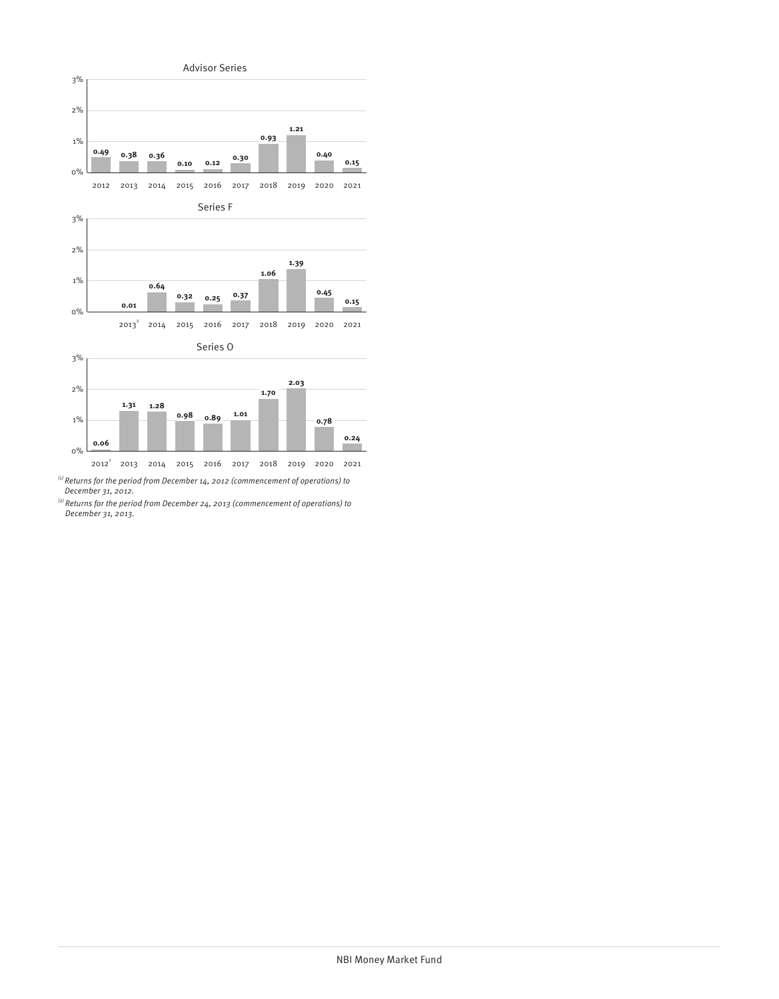

<sup>(1)</sup> Returns for the period from December 14, 2012 (commencement of operations) to<br>December 31, 2012.

 $^{(2)}$  Returns for the period from December 24, 2013 (commencement of operations) to December 31, 2013.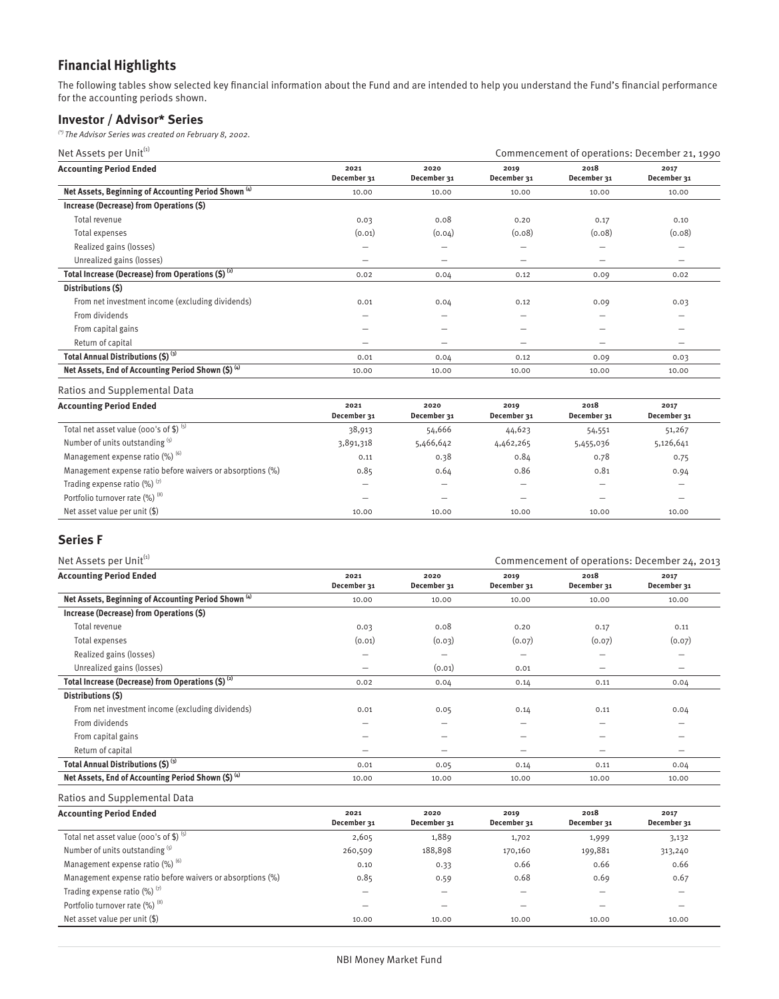# **Financial Highlights**

The following tables show selected key financial information about the Fund and are intended to help you understand the Fund's financial performance for the accounting periods shown.

# **Investor / Advisor\* Series**

(\*) The Advisor Series was created on February 8, 2002.

| Net Assets per Unit <sup>(1)</sup>                              |                     |                     |                     | Commencement of operations: December 21, 1990 |                          |  |
|-----------------------------------------------------------------|---------------------|---------------------|---------------------|-----------------------------------------------|--------------------------|--|
| <b>Accounting Period Ended</b>                                  | 2021<br>December 31 | 2020<br>December 31 | 2019<br>December 31 | 2018<br>December 31                           | 2017<br>December 31      |  |
| Net Assets, Beginning of Accounting Period Shown <sup>(4)</sup> | 10.00               | 10.00               | 10.00               | 10.00                                         | 10.00                    |  |
| Increase (Decrease) from Operations (\$)                        |                     |                     |                     |                                               |                          |  |
| Total revenue                                                   | 0.03                | 0.08                | 0.20                | 0.17                                          | 0.10                     |  |
| Total expenses                                                  | (0.01)              | (0.04)              | (0.08)              | (0.08)                                        | (0.08)                   |  |
| Realized gains (losses)                                         |                     |                     | -                   |                                               |                          |  |
| Unrealized gains (losses)                                       | -                   | -                   | $\qquad \qquad$     | -                                             | $\overline{\phantom{0}}$ |  |
| Total Increase (Decrease) from Operations $(5)^{(2)}$           | 0.02                | 0.04                | 0.12                | 0.09                                          | 0.02                     |  |
| Distributions (\$)                                              |                     |                     |                     |                                               |                          |  |
| From net investment income (excluding dividends)                | 0.01                | 0.04                | 0.12                | 0.09                                          | 0.03                     |  |
| From dividends                                                  |                     |                     | -                   |                                               |                          |  |
| From capital gains                                              | -                   | -                   | $\qquad \qquad$     | $\overline{\phantom{0}}$                      | -                        |  |
| Return of capital                                               | -                   | -                   | -                   | -                                             | $\overline{\phantom{0}}$ |  |
| Total Annual Distributions (\$) (3)                             | 0.01                | 0.04                | 0.12                | 0.09                                          | 0.03                     |  |
| Net Assets, End of Accounting Period Shown (\$) (4)             | 10.00               | 10.00               | 10.00               | 10.00                                         | 10.00                    |  |

Ratios and Supplemental Data

| <b>Accounting Period Ended</b>                             | 2021<br>December 31 | 2020<br>December 31 | 2019<br>December 31 | 2018<br>December 31 | 2017<br>December 31 |
|------------------------------------------------------------|---------------------|---------------------|---------------------|---------------------|---------------------|
| Total net asset value (000's of \$) $(5)$                  | 38,913              | 54,666              | 44,623              | 54,551              | 51,267              |
| Number of units outstanding (5)                            | 3,891,318           | 5,466,642           | 4,462,265           | 5,455,036           | 5,126,641           |
| Management expense ratio $(\%)$ <sup>(6)</sup>             | 0.11                | 0.38                | 0.84                | 0.78                | 0.75                |
| Management expense ratio before waivers or absorptions (%) | 0.85                | 0.64                | 0.86                | 0.81                | 0.94                |
| Trading expense ratio $(\%)$ <sup>(7)</sup>                |                     |                     | -                   | -                   |                     |
| Portfolio turnover rate (%) (8)                            | -                   | _                   | -                   | -                   | -                   |
| Net asset value per unit $(\$)$                            | 10.00               | 10.00               | 10.00               | 10.00               | 10.00               |

# **Series F**

| Net Assets per Unit <sup>(1)</sup>                              |                     |                          |                     |                     | Commencement of operations: December 24, 2013 |  |
|-----------------------------------------------------------------|---------------------|--------------------------|---------------------|---------------------|-----------------------------------------------|--|
| <b>Accounting Period Ended</b>                                  | 2021<br>December 31 | 2020<br>December 31      | 2019<br>December 31 | 2018<br>December 31 | 2017<br>December 31                           |  |
| Net Assets, Beginning of Accounting Period Shown <sup>(4)</sup> | 10.00               | 10.00                    | 10.00               | 10.00               | 10.00                                         |  |
| Increase (Decrease) from Operations (\$)                        |                     |                          |                     |                     |                                               |  |
| Total revenue                                                   | 0.03                | 0.08                     | 0.20                | 0.17                | 0.11                                          |  |
| Total expenses                                                  | (0.01)              | (0.03)                   | (0.07)              | (0.07)              | (0.07)                                        |  |
| Realized gains (losses)                                         | -                   | -                        | $\qquad \qquad$     |                     |                                               |  |
| Unrealized gains (losses)                                       | -                   | (0.01)                   | 0.01                | -                   | -                                             |  |
| Total Increase (Decrease) from Operations $(5)^{(2)}$           | 0.02                | 0.04                     | 0.14                | 0.11                | 0.04                                          |  |
| Distributions (\$)                                              |                     |                          |                     |                     |                                               |  |
| From net investment income (excluding dividends)                | 0.01                | 0.05                     | 0.14                | 0.11                | 0.04                                          |  |
| From dividends                                                  | -                   | -                        | —                   |                     |                                               |  |
| From capital gains                                              | -                   | $\overline{\phantom{0}}$ | $\qquad \qquad$     | -                   | -                                             |  |
| Return of capital                                               | -                   | -                        | —                   | -                   |                                               |  |
| Total Annual Distributions (\$) (3)                             | 0.01                | 0.05                     | 0.14                | 0.11                | 0.04                                          |  |
| Net Assets, End of Accounting Period Shown (\$) (4)             | 10.00               | 10.00                    | 10.00               | 10.00               | 10.00                                         |  |

Ratios and Supplemental Data

| <b>Accounting Period Ended</b>                             | 2021        | 2020        | 2019        | 2018                     | 2017                     |
|------------------------------------------------------------|-------------|-------------|-------------|--------------------------|--------------------------|
|                                                            | December 31 | December 31 | December 31 | December 31              | December 31              |
| Total net asset value (000's of \$) (5)                    | 2,605       | 1,889       | 1,702       | 1,999                    | 3,132                    |
| Number of units outstanding (5)                            | 260,509     | 188,898     | 170,160     | 199,881                  | 313,240                  |
| Management expense ratio (%) (6)                           | 0.10        | 0.33        | 0.66        | 0.66                     | 0.66                     |
| Management expense ratio before waivers or absorptions (%) | 0.85        | 0.59        | 0.68        | 0.69                     | 0.67                     |
| Trading expense ratio $(\%)$ <sup>(7)</sup>                |             | -           | -           | $\overline{\phantom{a}}$ | $\overline{\phantom{0}}$ |
| Portfolio turnover rate (%) (8)                            |             |             | -           |                          |                          |
| Net asset value per unit $(\$)$                            | 10.00       | 10.00       | 10.00       | 10.00                    | 10.00                    |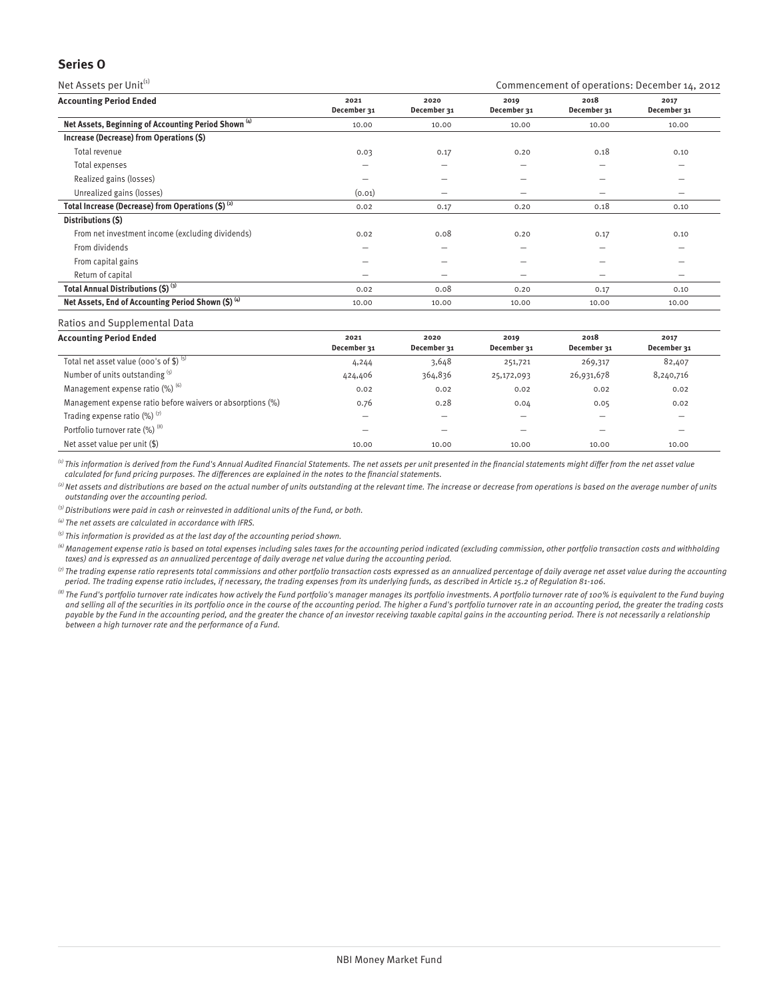# **Series O**

Net Assets per Unit $^{(i)}$  Commencement of operations: December 14, 2012

| <b>Accounting Period Ended</b>                                  | 2021<br>December 31      | 2020<br>December 31      | 2019<br>December 31 | 2018<br>December 31      | 2017<br>December 31 |
|-----------------------------------------------------------------|--------------------------|--------------------------|---------------------|--------------------------|---------------------|
| Net Assets, Beginning of Accounting Period Shown <sup>(4)</sup> | 10.00                    | 10.00                    | 10.00               | 10.00                    | 10.00               |
| Increase (Decrease) from Operations (\$)                        |                          |                          |                     |                          |                     |
| Total revenue                                                   | 0.03                     | 0.17                     | 0.20                | 0.18                     | 0.10                |
| Total expenses                                                  | $\overline{\phantom{m}}$ | $\overline{\phantom{0}}$ | -                   | $\overline{\phantom{0}}$ | -                   |
| Realized gains (losses)                                         |                          |                          | -                   |                          |                     |
| Unrealized gains (losses)                                       | (0.01)                   |                          | -                   |                          |                     |
| Total Increase (Decrease) from Operations $(5)^{(2)}$           | 0.02                     | 0.17                     | 0.20                | 0.18                     | 0.10                |
| Distributions (\$)                                              |                          |                          |                     |                          |                     |
| From net investment income (excluding dividends)                | 0.02                     | 0.08                     | 0.20                | 0.17                     | 0.10                |
| From dividends                                                  | -                        | -                        | -                   | $\overline{\phantom{0}}$ | -                   |
| From capital gains                                              | -                        | -                        | $\qquad \qquad$     | $\overline{\phantom{0}}$ | -                   |
| Return of capital                                               |                          |                          |                     |                          |                     |
| Total Annual Distributions (\$) (3)                             | 0.02                     | 0.08                     | 0.20                | 0.17                     | 0.10                |
| Net Assets, End of Accounting Period Shown (\$) (4)             | 10.00                    | 10.00                    | 10.00               | 10.00                    | 10.00               |

#### Ratios and Supplemental Data

| <b>Accounting Period Ended</b>                             | 2021<br>December 31 | 2020<br>December 31 | 2019<br>December 31 | 2018<br>December 31 | 2017<br>December 31 |
|------------------------------------------------------------|---------------------|---------------------|---------------------|---------------------|---------------------|
| Total net asset value (000's of \$) $(5)$                  | 4,244               | 3,648               | 251,721             | 269,317             | 82,407              |
| Number of units outstanding (5)                            | 424,406             | 364,836             | 25,172,093          | 26,931,678          | 8,240,716           |
| Management expense ratio $(\%)$ <sup>(6)</sup>             | 0.02                | 0.02                | 0.02                | 0.02                | 0.02                |
| Management expense ratio before waivers or absorptions (%) | 0.76                | 0.28                | 0.04                | 0.05                | 0.02                |
| Trading expense ratio $(\%)$ <sup>(7)</sup>                | -                   |                     | -                   |                     |                     |
| Portfolio turnover rate (%) (8)                            | -                   | -                   | -                   |                     |                     |
| Net asset value per unit (\$)                              | 10.00               | 10.00               | 10.00               | 10.00               | 10.00               |

 $\,^{(i)}$  This information is derived from the Fund's Annual Audited Financial Statements. The net assets per unit presented in the financial statements might differ from the net asset value calculated for fund pricing purposes. The differences are explained in the notes to the financial statements.

 $^{(2)}$  Net assets and distributions are based on the actual number of units outstanding at the relevant time. The increase or decrease from operations is based on the average number of units outstanding over the accounting period.

 $^{(3)}$  Distributions were paid in cash or reinvested in additional units of the Fund, or both.

 $^{(4)}$  The net assets are calculated in accordance with IFRS.

 $<sup>(5)</sup>$  This information is provided as at the last day of the accounting period shown.</sup>

 $^{(6)}$  Management expense ratio is based on total expenses including sales taxes for the accounting period indicated (excluding commission, other portfolio transaction costs and withholding taxes) and is expressed as an annualized percentage of daily average net value during the accounting period.

 $^\circ$ The trading expense ratio represents total commissions and other portfolio transaction costs expressed as an annualized percentage of daily average net asset value during the accounting period. The trading expense ratio includes, if necessary, the trading expenses from its underlying funds, as described in Article 15.2 of Regulation 81-106.

<sup>(8)</sup> The Fund's portfolio turnover rate indicates how actively the Fund portfolio's manager manages its portfolio investments. A portfolio turnover rate of 100% is equivalent to the Fund buying and selling all of the securities in its portfolio once in the course of the accounting period. The higher a Fund's portfolio turnover rate in an accounting period, the greater the trading costs payable by the Fund in the accounting period, and the greater the chance of an investor receiving taxable capital gains in the accounting period. There is not necessarily a relationship between a high turnover rate and the performance of a Fund.